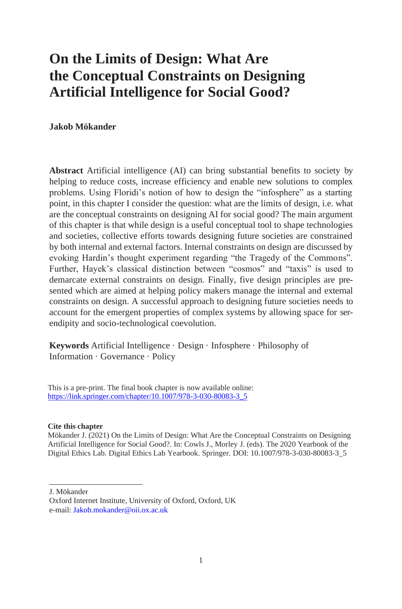# **On the Limits of Design: What Are the Conceptual Constraints on Designing Artificial Intelligence for Social Good?**

#### **Jakob Mökander**

**Abstract** Artificial intelligence (AI) can bring substantial benefits to society by helping to reduce costs, increase efficiency and enable new solutions to complex problems. Using Floridi's notion of how to design the "infosphere" as a starting point, in this chapter I consider the question: what are the limits of design, i.e. what are the conceptual constraints on designing AI for social good? The main argument of this chapter is that while design is a useful conceptual tool to shape technologies and societies, collective efforts towards designing future societies are constrained by both internal and external factors. Internal constraints on design are discussed by evoking Hardin's thought experiment regarding "the Tragedy of the Commons". Further, Hayek's classical distinction between "cosmos" and "taxis" is used to demarcate external constraints on design. Finally, five design principles are presented which are aimed at helping policy makers manage the internal and external constraints on design. A successful approach to designing future societies needs to account for the emergent properties of complex systems by allowing space for serendipity and socio-technological coevolution.

**Keywords** Artificial Intelligence · Design · Infosphere · Philosophy of Information · Governance · Policy

 This is a pre-print. The final book chapter is now available online:  [https://link.springer.com/chapter/10.1007/978-3-030-80083-3\\_5](https://link.springer.com/chapter/10.1007/978-3-030-80083-3_5)

#### **Cite this chapter**

 Mökander J. (2021) On the Limits of Design: What Are the Conceptual Constraints on Designing Artificial Intelligence for Social Good?. In: Cowls J., Morley J. (eds). The 2020 Yearbook of the Digital Ethics Lab. Digital Ethics Lab Yearbook. Springer. DOI: 10.1007/978-3-030-80083-3\_5

J. Mökander

Oxford Internet Institute, University of Oxford, Oxford, UK e-mail[: Jakob.mokander@oii.ox.ac.uk](mailto:Jakob.mokander@oii.ox.ac.uk)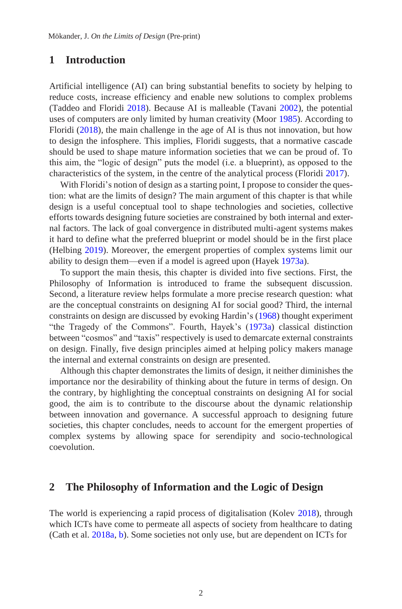## **1 Introduction**

Artificial intelligence (AI) can bring substantial benefits to society by helping to reduce costs, increase efficiency and enable new solutions to complex problems (Taddeo and Floridi 2018). Because AI is malleable (Tavani 2002), the potential uses of computers are only limited by human creativity (Moor 1985). According to Floridi (2018), the main challenge in the age of AI is thus not innovation, but how to design the infosphere. This implies, Floridi suggests, that a normative cascade should be used to shape mature information societies that we can be proud of. To this aim, the "logic of design" puts the model (i.e. a blueprint), as opposed to the characteristics of the system, in the centre of the analytical process (Floridi 2017).

With Floridi's notion of design as a starting point, I propose to consider the question: what are the limits of design? The main argument of this chapter is that while design is a useful conceptual tool to shape technologies and societies, collective efforts towards designing future societies are constrained by both internal and external factors. The lack of goal convergence in distributed multi-agent systems makes it hard to define what the preferred blueprint or model should be in the first place (Helbing 2019). Moreover, the emergent properties of complex systems limit our ability to design them—even if a model is agreed upon (Hayek 1973a).

To support the main thesis, this chapter is divided into five sections. First, the Philosophy of Information is introduced to frame the subsequent discussion. Second, a literature review helps formulate a more precise research question: what are the conceptual constraints on designing AI for social good? Third, the internal constraints on design are discussed by evoking Hardin's (1968) thought experiment "the Tragedy of the Commons". Fourth, Hayek's (1973a) classical distinction between "cosmos" and "taxis" respectively is used to demarcate external constraints on design. Finally, five design principles aimed at helping policy makers manage the internal and external constraints on design are presented.

Although this chapter demonstrates the limits of design, it neither diminishes the importance nor the desirability of thinking about the future in terms of design. On the contrary, by highlighting the conceptual constraints on designing AI for social good, the aim is to contribute to the discourse about the dynamic relationship between innovation and governance. A successful approach to designing future societies, this chapter concludes, needs to account for the emergent properties of complex systems by allowing space for serendipity and socio-technological coevolution.

#### **2 The Philosophy of Information and the Logic of Design**

The world is experiencing a rapid process of digitalisation (Kolev 2018), through which ICTs have come to permeate all aspects of society from healthcare to dating (Cath et al. 2018a, b). Some societies not only use, but are dependent on ICTs for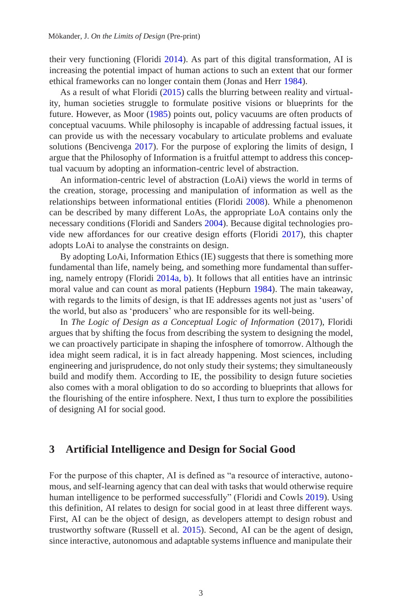their very functioning (Floridi 2014). As part of this digital transformation, AI is increasing the potential impact of human actions to such an extent that our former ethical frameworks can no longer contain them (Jonas and Herr 1984).

As a result of what Floridi (2015) calls the blurring between reality and virtuality, human societies struggle to formulate positive visions or blueprints for the future. However, as Moor (1985) points out, policy vacuums are often products of conceptual vacuums. While philosophy is incapable of addressing factual issues, it can provide us with the necessary vocabulary to articulate problems and evaluate solutions (Bencivenga 2017). For the purpose of exploring the limits of design, I argue that the Philosophy of Information is a fruitful attempt to address this conceptual vacuum by adopting an information-centric level of abstraction.

An information-centric level of abstraction (LoAi) views the world in terms of the creation, storage, processing and manipulation of information as well as the relationships between informational entities (Floridi 2008). While a phenomenon can be described by many different LoAs, the appropriate LoA contains only the necessary conditions (Floridi and Sanders 2004). Because digital technologies provide new affordances for our creative design efforts (Floridi 2017), this chapter adopts LoAi to analyse the constraints on design.

By adopting LoAi, Information Ethics (IE) suggests that there is something more fundamental than life, namely being, and something more fundamental than suffering, namely entropy (Floridi 2014a, b). It follows that all entities have an intrinsic moral value and can count as moral patients (Hepburn 1984). The main takeaway, with regards to the limits of design, is that IE addresses agents not just as 'users' of the world, but also as 'producers' who are responsible for its well-being.

In *The Logic of Design as a Conceptual Logic of Information* (2017), Floridi argues that by shifting the focus from describing the system to designing the model, we can proactively participate in shaping the infosphere of tomorrow. Although the idea might seem radical, it is in fact already happening. Most sciences, including engineering and jurisprudence, do not only study their systems; they simultaneously build and modify them. According to IE, the possibility to design future societies also comes with a moral obligation to do so according to blueprints that allows for the flourishing of the entire infosphere. Next, I thus turn to explore the possibilities of designing AI for social good.

#### **3 Artificial Intelligence and Design for Social Good**

For the purpose of this chapter, AI is defined as "a resource of interactive, autonomous, and self-learning agency that can deal with tasks that would otherwise require human intelligence to be performed successfully" (Floridi and Cowls 2019). Using this definition, AI relates to design for social good in at least three different ways. First, AI can be the object of design, as developers attempt to design robust and trustworthy software (Russell et al. 2015). Second, AI can be the agent of design, since interactive, autonomous and adaptable systems influence and manipulate their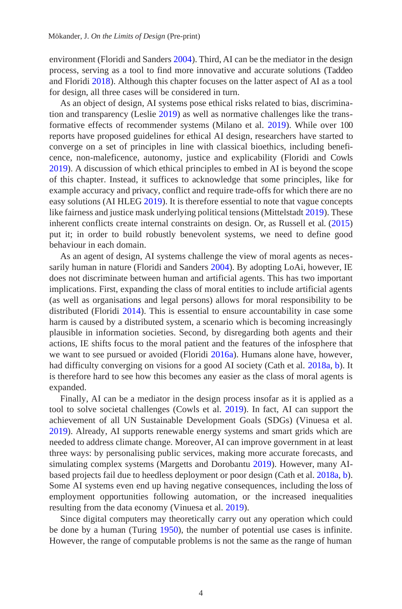environment (Floridi and Sanders 2004). Third, AI can be the mediator in the design process, serving as a tool to find more innovative and accurate solutions (Taddeo and Floridi 2018). Although this chapter focuses on the latter aspect of AI as a tool for design, all three cases will be considered in turn.

As an object of design, AI systems pose ethical risks related to bias, discrimination and transparency (Leslie 2019) as well as normative challenges like the transformative effects of recommender systems (Milano et al. 2019). While over 100 reports have proposed guidelines for ethical AI design, researchers have started to converge on a set of principles in line with classical bioethics, including beneficence, non-maleficence, autonomy, justice and explicability (Floridi and Cowls 2019). A discussion of which ethical principles to embed in AI is beyond the scope of this chapter. Instead, it suffices to acknowledge that some principles, like for example accuracy and privacy, conflict and require trade-offs for which there are no easy solutions (AI HLEG 2019). It is therefore essential to note that vague concepts like fairness and justice mask underlying political tensions (Mittelstadt 2019). These inherent conflicts create internal constraints on design. Or, as Russell et al. (2015) put it; in order to build robustly benevolent systems, we need to define good behaviour in each domain.

As an agent of design, AI systems challenge the view of moral agents as necessarily human in nature (Floridi and Sanders 2004). By adopting LoAi, however, IE does not discriminate between human and artificial agents. This has two important implications. First, expanding the class of moral entities to include artificial agents (as well as organisations and legal persons) allows for moral responsibility to be distributed (Floridi 2014). This is essential to ensure accountability in case some harm is caused by a distributed system, a scenario which is becoming increasingly plausible in information societies. Second, by disregarding both agents and their actions, IE shifts focus to the moral patient and the features of the infosphere that we want to see pursued or avoided (Floridi 2016a). Humans alone have, however, had difficulty converging on visions for a good AI society (Cath et al. 2018a, b). It is therefore hard to see how this becomes any easier as the class of moral agents is expanded.

Finally, AI can be a mediator in the design process insofar as it is applied as a tool to solve societal challenges (Cowls et al. 2019). In fact, AI can support the achievement of all UN Sustainable Development Goals (SDGs) (Vinuesa et al. 2019). Already, AI supports renewable energy systems and smart grids which are needed to address climate change. Moreover, AI can improve government in at least three ways: by personalising public services, making more accurate forecasts, and simulating complex systems (Margetts and Dorobantu 2019). However, many AIbased projects fail due to heedless deployment or poor design (Cath et al. 2018a, b). Some AI systems even end up having negative consequences, including the loss of employment opportunities following automation, or the increased inequalities resulting from the data economy (Vinuesa et al. 2019).

Since digital computers may theoretically carry out any operation which could be done by a human (Turing 1950), the number of potential use cases is infinite. However, the range of computable problems is not the same as the range of human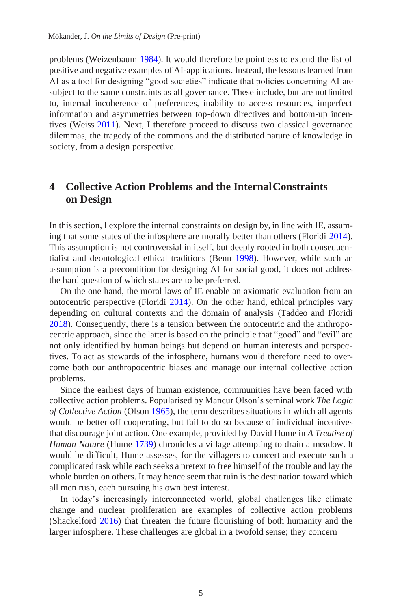problems (Weizenbaum 1984). It would therefore be pointless to extend the list of positive and negative examples of AI-applications. Instead, the lessons learned from AI as a tool for designing "good societies" indicate that policies concerning AI are subject to the same constraints as all governance. These include, but are notlimited to, internal incoherence of preferences, inability to access resources, imperfect information and asymmetries between top-down directives and bottom-up incentives (Weiss 2011). Next, I therefore proceed to discuss two classical governance dilemmas, the tragedy of the commons and the distributed nature of knowledge in society, from a design perspective.

# **4 Collective Action Problems and the InternalConstraints on Design**

In this section, I explore the internal constraints on design by, in line with IE, assuming that some states of the infosphere are morally better than others (Floridi 2014). This assumption is not controversial in itself, but deeply rooted in both consequentialist and deontological ethical traditions (Benn 1998). However, while such an assumption is a precondition for designing AI for social good, it does not address the hard question of which states are to be preferred.

On the one hand, the moral laws of IE enable an axiomatic evaluation from an ontocentric perspective (Floridi  $2014$ ). On the other hand, ethical principles vary depending on cultural contexts and the domain of analysis (Taddeo and Floridi 2018). Consequently, there is a tension between the ontocentric and the anthropocentric approach, since the latter is based on the principle that "good" and "evil" are not only identified by human beings but depend on human interests and perspectives. To act as stewards of the infosphere, humans would therefore need to overcome both our anthropocentric biases and manage our internal collective action problems.

Since the earliest days of human existence, communities have been faced with collective action problems. Popularised by Mancur Olson's seminal work *The Logic of Collective Action* (Olson 1965), the term describes situations in which all agents would be better off cooperating, but fail to do so because of individual incentives that discourage joint action. One example, provided by David Hume in *A Treatise of Human Nature* (Hume 1739) chronicles a village attempting to drain a meadow. It would be difficult, Hume assesses, for the villagers to concert and execute such a complicated task while each seeks a pretext to free himself of the trouble and lay the whole burden on others. It may hence seem that ruin is the destination toward which all men rush, each pursuing his own best interest.

In today's increasingly interconnected world, global challenges like climate change and nuclear proliferation are examples of collective action problems (Shackelford 2016) that threaten the future flourishing of both humanity and the larger infosphere. These challenges are global in a twofold sense; they concern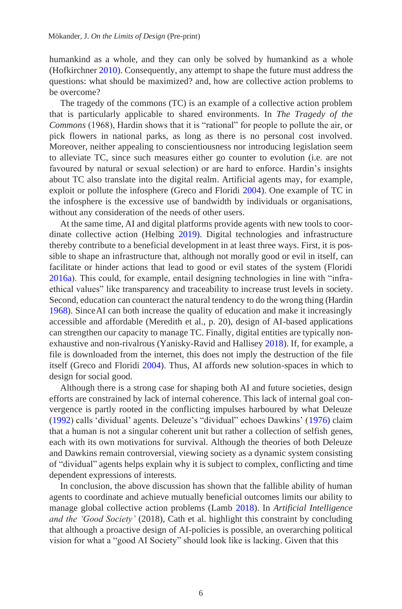humankind as a whole, and they can only be solved by humankind as a whole (Hofkirchner 2010). Consequently, any attempt to shape the future must address the questions: what should be maximized? and, how are collective action problems to be overcome?

The tragedy of the commons (TC) is an example of a collective action problem that is particularly applicable to shared environments. In *The Tragedy of the Commons* (1968), Hardin shows that it is "rational" for people to pollute the air, or pick flowers in national parks, as long as there is no personal cost involved. Moreover, neither appealing to conscientiousness nor introducing legislation seem to alleviate TC, since such measures either go counter to evolution (i.e. are not favoured by natural or sexual selection) or are hard to enforce. Hardin's insights about TC also translate into the digital realm. Artificial agents may, for example, exploit or pollute the infosphere (Greco and Floridi 2004). One example of TC in the infosphere is the excessive use of bandwidth by individuals or organisations, without any consideration of the needs of other users.

At the same time, AI and digital platforms provide agents with new tools to coordinate collective action (Helbing 2019). Digital technologies and infrastructure thereby contribute to a beneficial development in at least three ways. First, it is possible to shape an infrastructure that, although not morally good or evil in itself, can facilitate or hinder actions that lead to good or evil states of the system (Floridi 2016a). This could, for example, entail designing technologies in line with "infraethical values" like transparency and traceability to increase trust levels in society. Second, education can counteract the natural tendency to do the wrong thing (Hardin 1968). SinceAI can both increase the quality of education and make it increasingly accessible and affordable (Meredith et al., p. 20), design of AI-based applications can strengthen our capacity to manage TC. Finally, digital entities are typically nonexhaustive and non-rivalrous (Yanisky-Ravid and Hallisey 2018). If, for example, a file is downloaded from the internet, this does not imply the destruction of the file itself (Greco and Floridi 2004). Thus, AI affords new solution-spaces in which to design for social good.

Although there is a strong case for shaping both AI and future societies, design efforts are constrained by lack of internal coherence. This lack of internal goal convergence is partly rooted in the conflicting impulses harboured by what Deleuze (1992) calls 'dividual' agents. Deleuze's "dividual" echoes Dawkins' (1976) claim that a human is not a singular coherent unit but rather a collection of selfish genes, each with its own motivations for survival. Although the theories of both Deleuze and Dawkins remain controversial, viewing society as a dynamic system consisting of "dividual" agents helps explain why it is subject to complex, conflicting and time dependent expressions of interests.

In conclusion, the above discussion has shown that the fallible ability of human agents to coordinate and achieve mutually beneficial outcomes limits our ability to manage global collective action problems (Lamb 2018). In *Artificial Intelligence and the 'Good Society'* (2018), Cath et al. highlight this constraint by concluding that although a proactive design of AI-policies is possible, an overarching political vision for what a "good AI Society" should look like is lacking. Given that this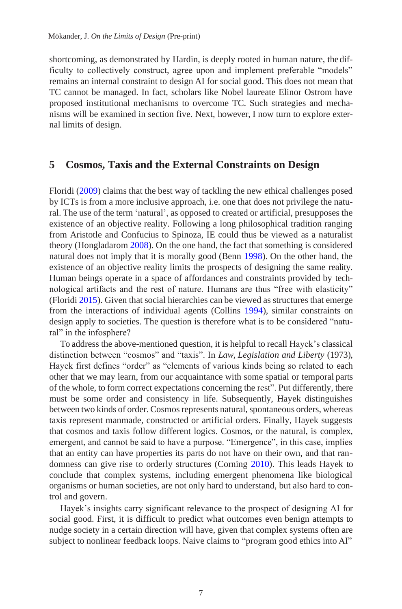shortcoming, as demonstrated by Hardin, is deeply rooted in human nature, thedifficulty to collectively construct, agree upon and implement preferable "models" remains an internal constraint to design AI for social good. This does not mean that TC cannot be managed. In fact, scholars like Nobel laureate Elinor Ostrom have proposed institutional mechanisms to overcome TC. Such strategies and mechanisms will be examined in section five. Next, however, I now turn to explore external limits of design.

#### **5 Cosmos, Taxis and the External Constraints on Design**

Floridi (2009) claims that the best way of tackling the new ethical challenges posed by ICTs is from a more inclusive approach, i.e. one that does not privilege the natural. The use of the term 'natural', as opposed to created or artificial, presupposes the existence of an objective reality. Following a long philosophical tradition ranging from Aristotle and Confucius to Spinoza, IE could thus be viewed as a naturalist theory (Hongladarom 2008). On the one hand, the fact that something is considered natural does not imply that it is morally good (Benn 1998). On the other hand, the existence of an objective reality limits the prospects of designing the same reality. Human beings operate in a space of affordances and constraints provided by technological artifacts and the rest of nature. Humans are thus "free with elasticity" (Floridi 2015). Given that social hierarchies can be viewed as structures that emerge from the interactions of individual agents (Collins 1994), similar constraints on design apply to societies. The question is therefore what is to be considered "natural" in the infosphere?

To address the above-mentioned question, it is helpful to recall Hayek's classical distinction between "cosmos" and "taxis". In *Law, Legislation and Liberty* (1973), Hayek first defines "order" as "elements of various kinds being so related to each other that we may learn, from our acquaintance with some spatial or temporal parts of the whole, to form correct expectations concerning the rest". Put differently, there must be some order and consistency in life. Subsequently, Hayek distinguishes between two kinds of order. Cosmos represents natural, spontaneous orders, whereas taxis represent manmade, constructed or artificial orders. Finally, Hayek suggests that cosmos and taxis follow different logics. Cosmos, or the natural, is complex, emergent, and cannot be said to have a purpose. "Emergence", in this case, implies that an entity can have properties its parts do not have on their own, and that randomness can give rise to orderly structures (Corning 2010). This leads Hayek to conclude that complex systems, including emergent phenomena like biological organisms or human societies, are not only hard to understand, but also hard to control and govern.

Hayek's insights carry significant relevance to the prospect of designing AI for social good. First, it is difficult to predict what outcomes even benign attempts to nudge society in a certain direction will have, given that complex systems often are subject to nonlinear feedback loops. Naive claims to "program good ethics into AI"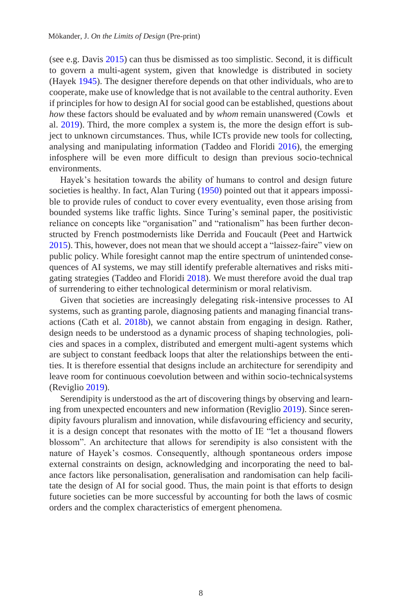(see e.g. Davis 2015) can thus be dismissed as too simplistic. Second, it is difficult to govern a multi-agent system, given that knowledge is distributed in society (Hayek 1945). The designer therefore depends on that other individuals, who are to cooperate, make use of knowledge that is not available to the central authority. Even if principles for how to design AI for social good can be established, questions about *how* these factors should be evaluated and by *whom* remain unanswered (Cowls et al. 2019). Third, the more complex a system is, the more the design effort is subject to unknown circumstances. Thus, while ICTs provide new tools for collecting, analysing and manipulating information (Taddeo and Floridi 2016), the emerging infosphere will be even more difficult to design than previous socio-technical environments.

Hayek's hesitation towards the ability of humans to control and design future societies is healthy. In fact, Alan Turing (1950) pointed out that it appears impossible to provide rules of conduct to cover every eventuality, even those arising from bounded systems like traffic lights. Since Turing's seminal paper, the positivistic reliance on concepts like "organisation" and "rationalism" has been further deconstructed by French postmodernists like Derrida and Foucault (Peet and Hartwick 2015). This, however, does not mean that we should accept a "laissez-faire" view on public policy. While foresight cannot map the entire spectrum of unintended consequences of AI systems, we may still identify preferable alternatives and risks mitigating strategies (Taddeo and Floridi 2018). We must therefore avoid the dual trap of surrendering to either technological determinism or moral relativism.

Given that societies are increasingly delegating risk-intensive processes to AI systems, such as granting parole, diagnosing patients and managing financial transactions (Cath et al. 2018b), we cannot abstain from engaging in design. Rather, design needs to be understood as a dynamic process of shaping technologies, policies and spaces in a complex, distributed and emergent multi-agent systems which are subject to constant feedback loops that alter the relationships between the entities. It is therefore essential that designs include an architecture for serendipity and leave room for continuous coevolution between and within socio-technicalsystems (Reviglio 2019).

Serendipity is understood as the art of discovering things by observing and learning from unexpected encounters and new information (Reviglio 2019). Since serendipity favours pluralism and innovation, while disfavouring efficiency and security, it is a design concept that resonates with the motto of IE "let a thousand flowers blossom". An architecture that allows for serendipity is also consistent with the nature of Hayek's cosmos. Consequently, although spontaneous orders impose external constraints on design, acknowledging and incorporating the need to balance factors like personalisation, generalisation and randomisation can help facilitate the design of AI for social good. Thus, the main point is that efforts to design future societies can be more successful by accounting for both the laws of cosmic orders and the complex characteristics of emergent phenomena.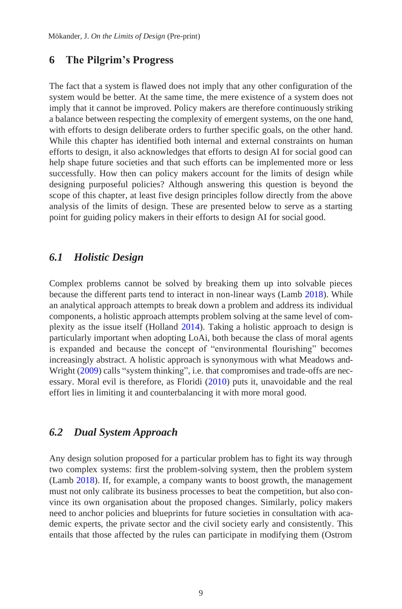#### **6 The Pilgrim's Progress**

The fact that a system is flawed does not imply that any other configuration of the system would be better. At the same time, the mere existence of a system does not imply that it cannot be improved. Policy makers are therefore continuously striking a balance between respecting the complexity of emergent systems, on the one hand, with efforts to design deliberate orders to further specific goals, on the other hand. While this chapter has identified both internal and external constraints on human efforts to design, it also acknowledges that efforts to design AI for social good can help shape future societies and that such efforts can be implemented more or less successfully. How then can policy makers account for the limits of design while designing purposeful policies? Although answering this question is beyond the scope of this chapter, at least five design principles follow directly from the above analysis of the limits of design. These are presented below to serve as a starting point for guiding policy makers in their efforts to design AI for social good.

#### *6.1 Holistic Design*

Complex problems cannot be solved by breaking them up into solvable pieces because the different parts tend to interact in non-linear ways (Lamb 2018). While an analytical approach attempts to break down a problem and address its individual components, a holistic approach attempts problem solving at the same level of complexity as the issue itself (Holland 2014). Taking a holistic approach to design is particularly important when adopting LoAi, both because the class of moral agents is expanded and because the concept of "environmental flourishing" becomes increasingly abstract. A holistic approach is synonymous with what Meadows and-Wright (2009) calls "system thinking", i.e. that compromises and trade-offs are necessary. Moral evil is therefore, as Floridi (2010) puts it, unavoidable and the real effort lies in limiting it and counterbalancing it with more moral good.

#### *6.2 Dual System Approach*

Any design solution proposed for a particular problem has to fight its way through two complex systems: first the problem-solving system, then the problem system (Lamb 2018). If, for example, a company wants to boost growth, the management must not only calibrate its business processes to beat the competition, but also convince its own organisation about the proposed changes. Similarly, policy makers need to anchor policies and blueprints for future societies in consultation with academic experts, the private sector and the civil society early and consistently. This entails that those affected by the rules can participate in modifying them (Ostrom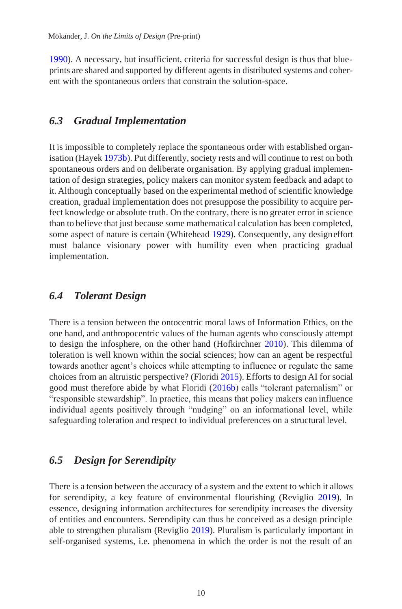1990). A necessary, but insufficient, criteria for successful design is thus that blueprints are shared and supported by different agents in distributed systems and coherent with the spontaneous orders that constrain the solution-space.

#### *6.3 Gradual Implementation*

It is impossible to completely replace the spontaneous order with established organisation (Hayek 1973b). Put differently, society rests and will continue to rest on both spontaneous orders and on deliberate organisation. By applying gradual implementation of design strategies, policy makers can monitor system feedback and adapt to it. Although conceptually based on the experimental method of scientific knowledge creation, gradual implementation does not presuppose the possibility to acquire perfect knowledge or absolute truth. On the contrary, there is no greater error in science than to believe that just because some mathematical calculation has been completed, some aspect of nature is certain (Whitehead 1929). Consequently, any designeffort must balance visionary power with humility even when practicing gradual implementation.

# *6.4 Tolerant Design*

There is a tension between the ontocentric moral laws of Information Ethics, on the one hand, and anthropocentric values of the human agents who consciously attempt to design the infosphere, on the other hand (Hofkirchner 2010). This dilemma of toleration is well known within the social sciences; how can an agent be respectful towards another agent's choices while attempting to influence or regulate the same choices from an altruistic perspective? (Floridi 2015). Efforts to design AI for social good must therefore abide by what Floridi (2016b) calls "tolerant paternalism" or "responsible stewardship". In practice, this means that policy makers can influence individual agents positively through "nudging" on an informational level, while safeguarding toleration and respect to individual preferences on a structural level.

## *6.5 Design for Serendipity*

There is a tension between the accuracy of a system and the extent to which it allows for serendipity, a key feature of environmental flourishing (Reviglio 2019). In essence, designing information architectures for serendipity increases the diversity of entities and encounters. Serendipity can thus be conceived as a design principle able to strengthen pluralism (Reviglio 2019). Pluralism is particularly important in self-organised systems, i.e. phenomena in which the order is not the result of an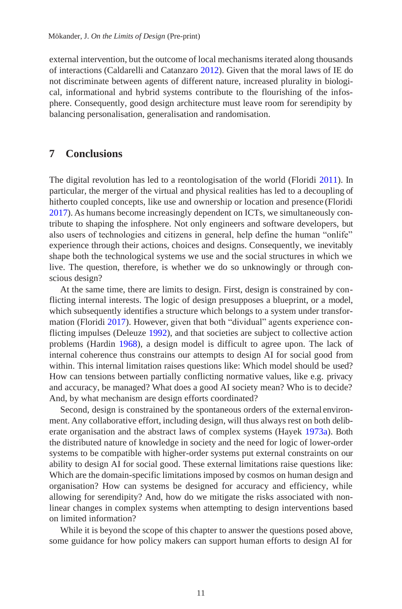external intervention, but the outcome of local mechanisms iterated along thousands of interactions (Caldarelli and Catanzaro 2012). Given that the moral laws of IE do not discriminate between agents of different nature, increased plurality in biological, informational and hybrid systems contribute to the flourishing of the infosphere. Consequently, good design architecture must leave room for serendipity by balancing personalisation, generalisation and randomisation.

#### **7 Conclusions**

The digital revolution has led to a reontologisation of the world (Floridi 2011). In particular, the merger of the virtual and physical realities has led to a decoupling of hitherto coupled concepts, like use and ownership or location and presence (Floridi 2017). As humans become increasingly dependent on ICTs, we simultaneously contribute to shaping the infosphere. Not only engineers and software developers, but also users of technologies and citizens in general, help define the human "onlife" experience through their actions, choices and designs. Consequently, we inevitably shape both the technological systems we use and the social structures in which we live. The question, therefore, is whether we do so unknowingly or through conscious design?

At the same time, there are limits to design. First, design is constrained by conflicting internal interests. The logic of design presupposes a blueprint, or a model, which subsequently identifies a structure which belongs to a system under transformation (Floridi 2017). However, given that both "dividual" agents experience conflicting impulses (Deleuze 1992), and that societies are subject to collective action problems (Hardin 1968), a design model is difficult to agree upon. The lack of internal coherence thus constrains our attempts to design AI for social good from within. This internal limitation raises questions like: Which model should be used? How can tensions between partially conflicting normative values, like e.g. privacy and accuracy, be managed? What does a good AI society mean? Who is to decide? And, by what mechanism are design efforts coordinated?

Second, design is constrained by the spontaneous orders of the external environment. Any collaborative effort, including design, will thus always rest on both deliberate organisation and the abstract laws of complex systems (Hayek 1973a). Both the distributed nature of knowledge in society and the need for logic of lower-order systems to be compatible with higher-order systems put external constraints on our ability to design AI for social good. These external limitations raise questions like: Which are the domain-specific limitations imposed by cosmos on human design and organisation? How can systems be designed for accuracy and efficiency, while allowing for serendipity? And, how do we mitigate the risks associated with nonlinear changes in complex systems when attempting to design interventions based on limited information?

While it is beyond the scope of this chapter to answer the questions posed above, some guidance for how policy makers can support human efforts to design AI for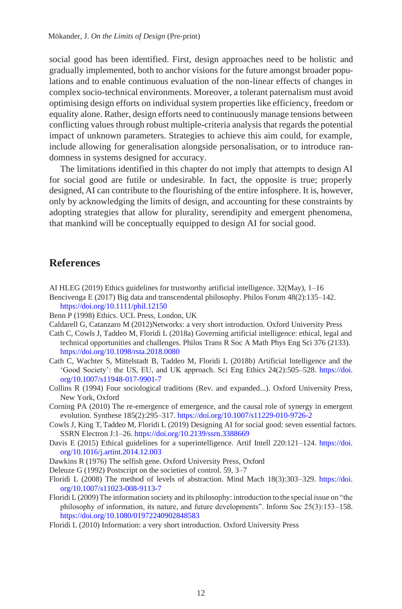social good has been identified. First, design approaches need to be holistic and gradually implemented, both to anchor visions for the future amongst broader populations and to enable continuous evaluation of the non-linear effects of changes in complex socio-technical environments. Moreover, a tolerant paternalism must avoid optimising design efforts on individual system properties like efficiency, freedom or equality alone. Rather, design efforts need to continuously manage tensions between conflicting values through robust multiple-criteria analysis that regards the potential impact of unknown parameters. Strategies to achieve this aim could, for example, include allowing for generalisation alongside personalisation, or to introduce randomness in systems designed for accuracy.

The limitations identified in this chapter do not imply that attempts to design AI for social good are futile or undesirable. In fact, the opposite is true; properly designed, AI can contribute to the flourishing of the entire infosphere. It is, however, only by acknowledging the limits of design, and accounting for these constraints by adopting strategies that allow for plurality, serendipity and emergent phenomena, that mankind will be conceptually equipped to design AI for social good.

## **References**

- AI HLEG (2019) Ethics guidelines for trustworthy artificial intelligence.  $32$ (May), 1–16
- Bencivenga E (2017) Big data and transcendental philosophy. Philos Forum 48(2):135–142. <https://doi.org/10.1111/phil.12150>
- Benn P (1998) Ethics. UCL Press, London, UK
- Caldarell G, Catanzaro M (2012)Networks: a very short introduction. Oxford University Press
- Cath C, Cowls J, Taddeo M, Floridi L (2018a) Governing artificial intelligence: ethical, legal and technical opportunities and challenges. Philos Trans R Soc A Math Phys Eng Sci 376 (2133). <https://doi.org/10.1098/rsta.2018.0080>
- Cath C, Wachter S, Mittelstadt B, Taddeo M, Floridi L (2018b) Artificial Intelligence and the 'Good Society': the US, EU, and UK approach. Sci Eng Ethics 24(2):505–528. [https://doi.](https://doi.org/10.1007/s11948-017-9901-7) [org/10.1007/s11948-017-9901-7](https://doi.org/10.1007/s11948-017-9901-7)
- Collins R (1994) Four sociological traditions (Rev. and expanded...). Oxford University Press, New York, Oxford
- Corning PA (2010) The re-emergence of emergence, and the causal role of synergy in emergent evolution. Synthese 185(2):295–317[. https://doi.org/10.1007/s11229-010-9726-2](https://doi.org/10.1007/s11229-010-9726-2)
- Cowls J, King T, Taddeo M, Floridi L (2019) Designing AI for social good: seven essential factors. SSRN Electron J:1–26[. https://doi.org/10.2139/ssrn.3388669](https://doi.org/10.2139/ssrn.3388669)
- Davis E (2015) Ethical guidelines for a superintelligence. Artif Intell 220:121–124. [https://doi.](https://doi.org/10.1016/j.artint.2014.12.003) [org/10.1016/j.artint.2014.12.003](https://doi.org/10.1016/j.artint.2014.12.003)
- Dawkins R (1976) The selfish gene. Oxford University Press, Oxford
- Deleuze G (1992) Postscript on the societies of control. 59, 3–7
- Floridi L (2008) The method of levels of abstraction. Mind Mach 18(3):303–329. [https://doi.](https://doi.org/10.1007/s11023-008-9113-7) [org/10.1007/s11023-008-9113-7](https://doi.org/10.1007/s11023-008-9113-7)
- Floridi L(2009)The information society and its philosophy: introduction to the special issue on "the philosophy of information, its nature, and future developments". Inform Soc 25(3):153–158. <https://doi.org/10.1080/01972240902848583>
- Floridi L (2010) Information: a very short introduction. Oxford University Press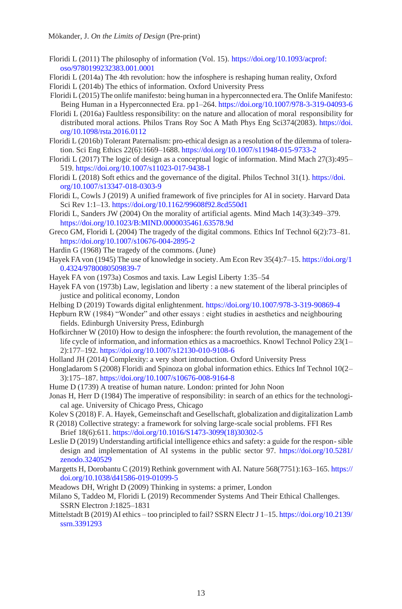- Floridi L (2011) The philosophy of information (Vol. 15). https://doi.org/10.1093/acprof: oso/9780199232383.001.0001
- Floridi L (2014a) The 4th revolution: how the infosphere is reshaping human reality, Oxford
- Floridi L (2014b) The ethics of information. Oxford University Press
- Floridi L (2015)The onlife manifesto: being human in a hyperconnected era.The Onlife Manifesto: Being Human in a Hyperconnected Era. pp1–264. <https://doi.org/10.1007/978-3-319-04093-6>
- Floridi L (2016a) Faultless responsibility: on the nature and allocation of moral responsibility for distributed moral actions. Philos Trans Roy Soc A Math Phys Eng Sci374(2083). [https://doi.](https://doi.org/10.1098/rsta.2016.0112) [org/10.1098/rsta.2016.0112](https://doi.org/10.1098/rsta.2016.0112)
- Floridi L (2016b) Tolerant Paternalism: pro-ethical design as a resolution of the dilemma of toleration. Sci Eng Ethics 22(6):1669–1688. <https://doi.org/10.1007/s11948-015-9733-2>
- Floridi L (2017) The logic of design as a conceptual logic of information. Mind Mach 27(3):495– 519.<https://doi.org/10.1007/s11023-017-9438-1>
- Floridi L (2018) Soft ethics and the governance of the digital. Philos Technol 31(1)[. https://doi.](https://doi.org/10.1007/s13347-018-0303-9) [org/10.1007/s13347-018-0303-9](https://doi.org/10.1007/s13347-018-0303-9)
- Floridi L, Cowls J (2019) A unified framework of five principles for AI in society. Harvard Data Sci Rev 1:1–13[. https://doi.org/10.1162/99608f92.8cd550d1](https://doi.org/10.1162/99608f92.8cd550d1)
- Floridi L, Sanders JW (2004) On the morality of artificial agents. Mind Mach 14(3):349–379. https://doi.org/10.1023/B:MIND.0000035461.63578.9d
- Greco GM, Floridi L (2004) The tragedy of the digital commons. Ethics Inf Technol 6(2):73–81. <https://doi.org/10.1007/s10676-004-2895-2>
- Hardin G (1968) The tragedy of the commons. (June)
- Hayek FA von (1945) The use of knowledge in society. Am Econ Rev 35(4):7–15. [https://doi.org/1](https://doi.org/10.4324/9780080509839-7) [0.4324/9780080509839-7](https://doi.org/10.4324/9780080509839-7)
- Hayek FA von (1973a) Cosmos and taxis. Law Legisl Liberty 1:35–54
- Hayek FA von (1973b) Law, legislation and liberty : a new statement of the liberal principles of justice and political economy, London
- Helbing D (2019) Towards digital enlightenment.<https://doi.org/10.1007/978-3-319-90869-4>
- Hepburn RW (1984) "Wonder" and other essays : eight studies in aesthetics and neighbouring fields. Edinburgh University Press, Edinburgh
- Hofkirchner W (2010) How to design the infosphere: the fourth revolution, the management of the life cycle of information, and information ethics as a macroethics. Knowl Technol Policy 23(1– 2):177–192[. https://doi.org/10.1007/s12130-010-9108-6](https://doi.org/10.1007/s12130-010-9108-6)
- Holland JH (2014) Complexity: a very short introduction. Oxford University Press
- Hongladarom S (2008) Floridi and Spinoza on global information ethics. Ethics Inf Technol 10(2– 3):175–187[. https://doi.org/10.1007/s10676-008-9164-8](https://doi.org/10.1007/s10676-008-9164-8)
- Hume D (1739) A treatise of human nature. London: printed for John Noon
- Jonas H, Herr D (1984) The imperative of responsibility: in search of an ethics for the technological age. University of Chicago Press, Chicago
- Kolev S (2018) F. A. Hayek*,* Gemeinschaft and Gesellschaft, globalization and digitalization Lamb
- R (2018) Collective strategy: a framework for solving large-scale social problems. FFI Res Brief 18(6):611[. https://doi.org/10.1016/S1473-3099\(18\)30302-5](https://doi.org/10.1016/S1473-3099(18)30302-5)
- Leslie D (2019) Understanding artificial intelligence ethics and safety: a guide for the respon- sible design and implementation of AI systems in the public sector 97. [https://doi.org/10.5281/](https://doi.org/10.5281/zenodo.3240529) [zenodo.3240529](https://doi.org/10.5281/zenodo.3240529)
- Margetts H, Dorobantu C (2019) Rethink government with AI. Nature 568(7751):163–165. [https://](https://doi.org/10.1038/d41586-019-01099-5) [doi.org/10.1038/d41586-019-01099-5](https://doi.org/10.1038/d41586-019-01099-5)
- Meadows DH, Wright D (2009) Thinking in systems: a primer, London
- Milano S, Taddeo M, Floridi L (2019) Recommender Systems And Their Ethical Challenges. SSRN Electron J:1825–1831
- Mittelstadt B (2019)AI ethics too principled to fail? SSRN Electr J 1–15. [https://doi.org/10.2139/](https://doi.org/10.2139/ssrn.3391293) [ssrn.3391293](https://doi.org/10.2139/ssrn.3391293)